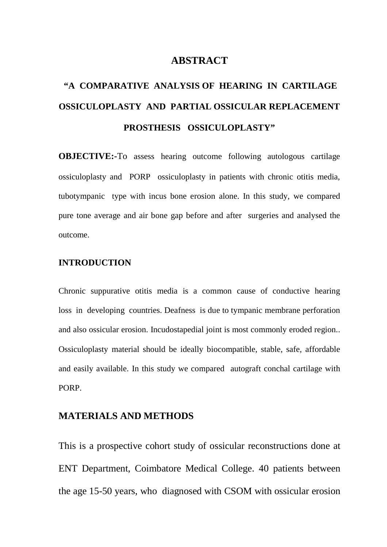### **ABSTRACT**

# **"A COMPARATIVE ANALYSIS OF HEARING IN CARTILAGE OSSICULOPLASTY AND PARTIAL OSSICULAR REPLACEMENT PROSTHESIS OSSICULOPLASTY"**

**OBJECTIVE:-**To assess hearing outcome following autologous cartilage ossiculoplasty and PORP ossiculoplasty in patients with chronic otitis media, tubotympanic type with incus bone erosion alone. In this study, we compared pure tone average and air bone gap before and after surgeries and analysed the outcome.

#### **INTRODUCTION**

Chronic suppurative otitis media is a common cause of conductive hearing loss in developing countries. Deafness is due to tympanic membrane perforation and also ossicular erosion. Incudostapedial joint is most commonly eroded region.. Ossiculoplasty material should be ideally biocompatible, stable, safe, affordable and easily available. In this study we compared autograft conchal cartilage with PORP.

## **MATERIALS AND METHODS**

This is a prospective cohort study of ossicular reconstructions done at ENT Department, Coimbatore Medical College. 40 patients between the age 15-50 years, who diagnosed with CSOM with ossicular erosion